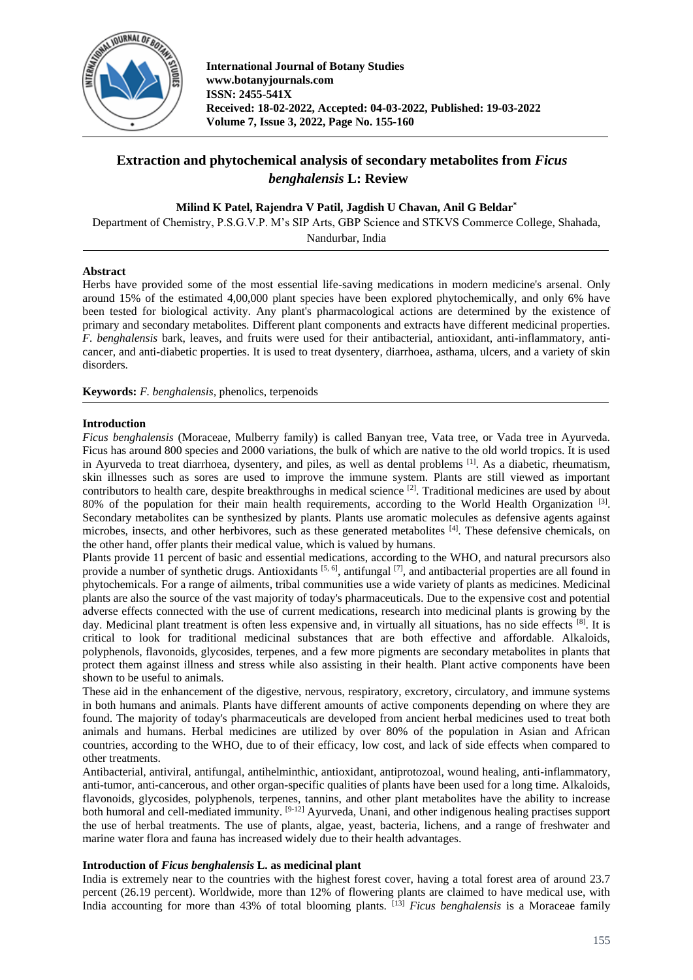

# **Extraction and phytochemical analysis of secondary metabolites from** *Ficus benghalensis* **L: Review**

## **Milind K Patel, Rajendra V Patil, Jagdish U Chavan, Anil G Beldar\***

Department of Chemistry, P.S.G.V.P. M's SIP Arts, GBP Science and STKVS Commerce College, Shahada, Nandurbar, India

## **Abstract**

Herbs have provided some of the most essential life-saving medications in modern medicine's arsenal. Only around 15% of the estimated 4,00,000 plant species have been explored phytochemically, and only 6% have been tested for biological activity. Any plant's pharmacological actions are determined by the existence of primary and secondary metabolites. Different plant components and extracts have different medicinal properties. *F. benghalensis* bark, leaves, and fruits were used for their antibacterial, antioxidant, anti-inflammatory, anticancer, and anti-diabetic properties. It is used to treat dysentery, diarrhoea, asthama, ulcers, and a variety of skin disorders.

**Keywords:** *F. benghalensis,* phenolics, terpenoids

## **Introduction**

*Ficus benghalensis* (Moraceae, Mulberry family) is called Banyan tree, Vata tree, or Vada tree in Ayurveda. Ficus has around 800 species and 2000 variations, the bulk of which are native to the old world tropics. It is used in Ayurveda to treat diarrhoea, dysentery, and piles, as well as dental problems [1]. As a diabetic, rheumatism, skin illnesses such as sores are used to improve the immune system. Plants are still viewed as important contributors to health care, despite breakthroughs in medical science  $\binom{2}{1}$ . Traditional medicines are used by about 80% of the population for their main health requirements, according to the World Health Organization [3]. Secondary metabolites can be synthesized by plants. Plants use aromatic molecules as defensive agents against microbes, insects, and other herbivores, such as these generated metabolites [4]. These defensive chemicals, on the other hand, offer plants their medical value, which is valued by humans.

Plants provide 11 percent of basic and essential medications, according to the WHO, and natural precursors also provide a number of synthetic drugs. Antioxidants  $[5, 6]$ , antifungal  $[7]$ , and antibacterial properties are all found in phytochemicals. For a range of ailments, tribal communities use a wide variety of plants as medicines. Medicinal plants are also the source of the vast majority of today's pharmaceuticals. Due to the expensive cost and potential adverse effects connected with the use of current medications, research into medicinal plants is growing by the day. Medicinal plant treatment is often less expensive and, in virtually all situations, has no side effects [8]. It is critical to look for traditional medicinal substances that are both effective and affordable. Alkaloids, polyphenols, flavonoids, glycosides, terpenes, and a few more pigments are secondary metabolites in plants that protect them against illness and stress while also assisting in their health. Plant active components have been shown to be useful to animals.

These aid in the enhancement of the digestive, nervous, respiratory, excretory, circulatory, and immune systems in both humans and animals. Plants have different amounts of active components depending on where they are found. The majority of today's pharmaceuticals are developed from ancient herbal medicines used to treat both animals and humans. Herbal medicines are utilized by over 80% of the population in Asian and African countries, according to the WHO, due to of their efficacy, low cost, and lack of side effects when compared to other treatments.

Antibacterial, antiviral, antifungal, antihelminthic, antioxidant, antiprotozoal, wound healing, anti-inflammatory, anti-tumor, anti-cancerous, and other organ-specific qualities of plants have been used for a long time. Alkaloids, flavonoids, glycosides, polyphenols, terpenes, tannins, and other plant metabolites have the ability to increase both humoral and cell-mediated immunity. <sup>[9-12]</sup> Ayurveda, Unani, and other indigenous healing practises support the use of herbal treatments. The use of plants, algae, yeast, bacteria, lichens, and a range of freshwater and marine water flora and fauna has increased widely due to their health advantages.

## **Introduction of** *Ficus benghalensis* **L. as medicinal plant**

India is extremely near to the countries with the highest forest cover, having a total forest area of around 23.7 percent (26.19 percent). Worldwide, more than 12% of flowering plants are claimed to have medical use, with India accounting for more than 43% of total blooming plants. [13] *Ficus benghalensis* is a Moraceae family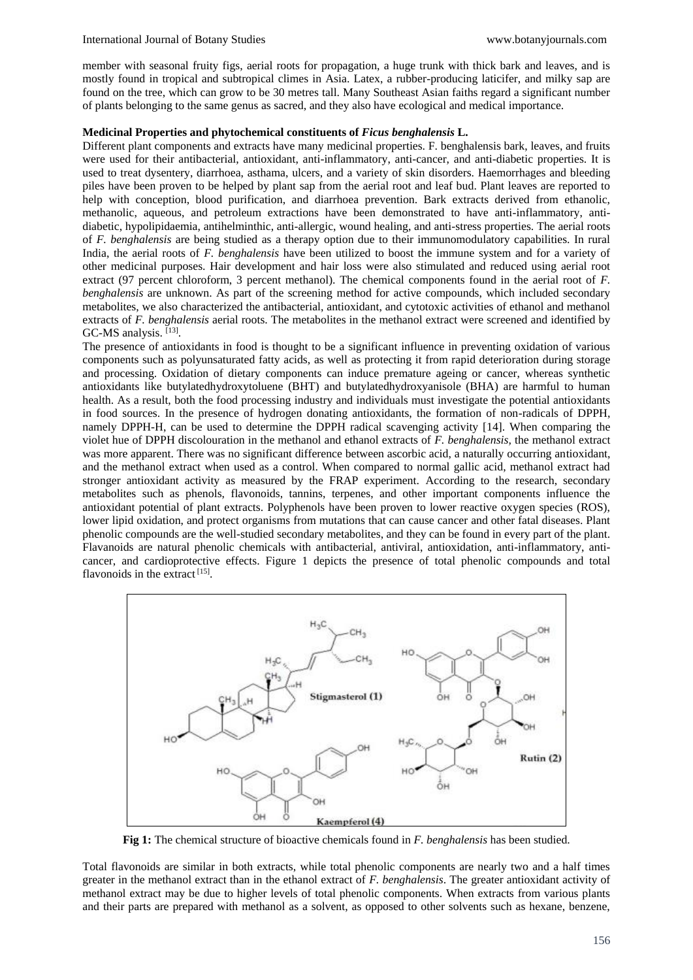member with seasonal fruity figs, aerial roots for propagation, a huge trunk with thick bark and leaves, and is mostly found in tropical and subtropical climes in Asia. Latex, a rubber-producing laticifer, and milky sap are found on the tree, which can grow to be 30 metres tall. Many Southeast Asian faiths regard a significant number of plants belonging to the same genus as sacred, and they also have ecological and medical importance.

## **Medicinal Properties and phytochemical constituents of** *Ficus benghalensis* **L.**

Different plant components and extracts have many medicinal properties. F. benghalensis bark, leaves, and fruits were used for their antibacterial, antioxidant, anti-inflammatory, anti-cancer, and anti-diabetic properties. It is used to treat dysentery, diarrhoea, asthama, ulcers, and a variety of skin disorders. Haemorrhages and bleeding piles have been proven to be helped by plant sap from the aerial root and leaf bud. Plant leaves are reported to help with conception, blood purification, and diarrhoea prevention. Bark extracts derived from ethanolic, methanolic, aqueous, and petroleum extractions have been demonstrated to have anti-inflammatory, antidiabetic, hypolipidaemia, antihelminthic, anti-allergic, wound healing, and anti-stress properties. The aerial roots of *F. benghalensis* are being studied as a therapy option due to their immunomodulatory capabilities. In rural India, the aerial roots of *F. benghalensis* have been utilized to boost the immune system and for a variety of other medicinal purposes. Hair development and hair loss were also stimulated and reduced using aerial root extract (97 percent chloroform, 3 percent methanol). The chemical components found in the aerial root of *F. benghalensis* are unknown. As part of the screening method for active compounds, which included secondary metabolites, we also characterized the antibacterial, antioxidant, and cytotoxic activities of ethanol and methanol extracts of *F. benghalensis* aerial roots. The metabolites in the methanol extract were screened and identified by GC-MS analysis. [13].

The presence of antioxidants in food is thought to be a significant influence in preventing oxidation of various components such as polyunsaturated fatty acids, as well as protecting it from rapid deterioration during storage and processing. Oxidation of dietary components can induce premature ageing or cancer, whereas synthetic antioxidants like butylatedhydroxytoluene (BHT) and butylatedhydroxyanisole (BHA) are harmful to human health. As a result, both the food processing industry and individuals must investigate the potential antioxidants in food sources. In the presence of hydrogen donating antioxidants, the formation of non-radicals of DPPH, namely DPPH-H, can be used to determine the DPPH radical scavenging activity [14]. When comparing the violet hue of DPPH discolouration in the methanol and ethanol extracts of *F. benghalensis,* the methanol extract was more apparent. There was no significant difference between ascorbic acid, a naturally occurring antioxidant, and the methanol extract when used as a control. When compared to normal gallic acid, methanol extract had stronger antioxidant activity as measured by the FRAP experiment. According to the research, secondary metabolites such as phenols, flavonoids, tannins, terpenes, and other important components influence the antioxidant potential of plant extracts. Polyphenols have been proven to lower reactive oxygen species (ROS), lower lipid oxidation, and protect organisms from mutations that can cause cancer and other fatal diseases. Plant phenolic compounds are the well-studied secondary metabolites, and they can be found in every part of the plant. Flavanoids are natural phenolic chemicals with antibacterial, antiviral, antioxidation, anti-inflammatory, anticancer, and cardioprotective effects. Figure 1 depicts the presence of total phenolic compounds and total flavonoids in the extract<sup>[15]</sup>.



**Fig 1:** The chemical structure of bioactive chemicals found in *F. benghalensis* has been studied.

Total flavonoids are similar in both extracts, while total phenolic components are nearly two and a half times greater in the methanol extract than in the ethanol extract of *F. benghalensis*. The greater antioxidant activity of methanol extract may be due to higher levels of total phenolic components. When extracts from various plants and their parts are prepared with methanol as a solvent, as opposed to other solvents such as hexane, benzene,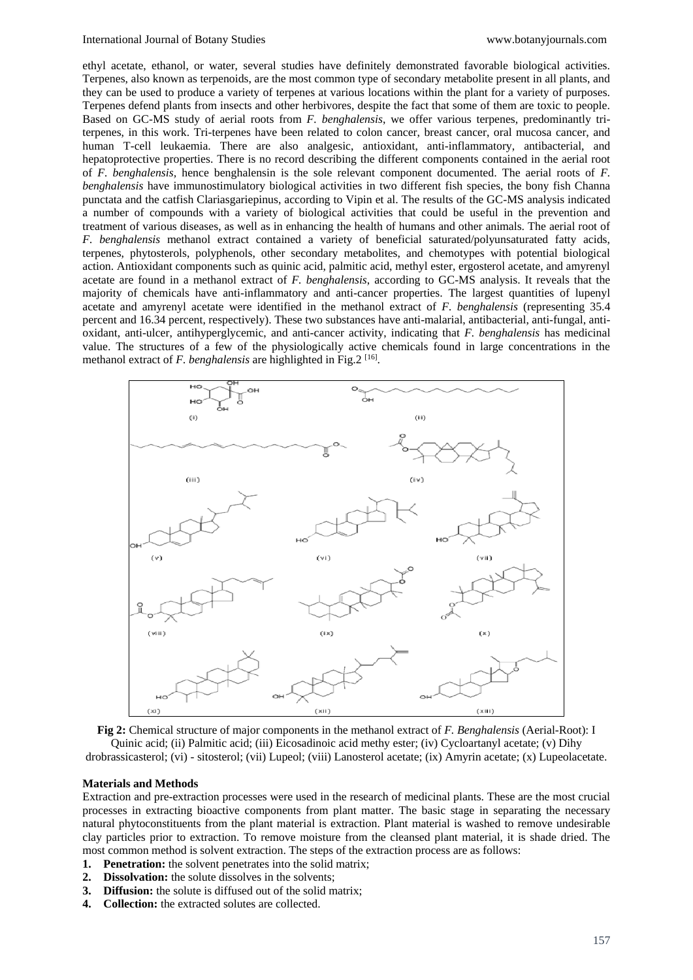ethyl acetate, ethanol, or water, several studies have definitely demonstrated favorable biological activities. Terpenes, also known as terpenoids, are the most common type of secondary metabolite present in all plants, and they can be used to produce a variety of terpenes at various locations within the plant for a variety of purposes. Terpenes defend plants from insects and other herbivores, despite the fact that some of them are toxic to people. Based on GC-MS study of aerial roots from *F. benghalensis*, we offer various terpenes, predominantly triterpenes, in this work. Tri-terpenes have been related to colon cancer, breast cancer, oral mucosa cancer, and human T-cell leukaemia. There are also analgesic, antioxidant, anti-inflammatory, antibacterial, and hepatoprotective properties. There is no record describing the different components contained in the aerial root of *F. benghalensis,* hence benghalensin is the sole relevant component documented. The aerial roots of *F. benghalensis* have immunostimulatory biological activities in two different fish species, the bony fish Channa punctata and the catfish Clariasgariepinus, according to Vipin et al. The results of the GC-MS analysis indicated a number of compounds with a variety of biological activities that could be useful in the prevention and treatment of various diseases, as well as in enhancing the health of humans and other animals. The aerial root of *F. benghalensis* methanol extract contained a variety of beneficial saturated/polyunsaturated fatty acids, terpenes, phytosterols, polyphenols, other secondary metabolites, and chemotypes with potential biological action. Antioxidant components such as quinic acid, palmitic acid, methyl ester, ergosterol acetate, and amyrenyl acetate are found in a methanol extract of *F. benghalensis*, according to GC-MS analysis. It reveals that the majority of chemicals have anti-inflammatory and anti-cancer properties. The largest quantities of lupenyl acetate and amyrenyl acetate were identified in the methanol extract of *F. benghalensis* (representing 35.4 percent and 16.34 percent, respectively). These two substances have anti-malarial, antibacterial, anti-fungal, antioxidant, anti-ulcer, antihyperglycemic, and anti-cancer activity, indicating that *F. benghalensis* has medicinal value. The structures of a few of the physiologically active chemicals found in large concentrations in the methanol extract of *F. benghalensis* are highlighted in Fig.2<sup>[16]</sup>.





#### **Materials and Methods**

Extraction and pre-extraction processes were used in the research of medicinal plants. These are the most crucial processes in extracting bioactive components from plant matter. The basic stage in separating the necessary natural phytoconstituents from the plant material is extraction. Plant material is washed to remove undesirable clay particles prior to extraction. To remove moisture from the cleansed plant material, it is shade dried. The most common method is solvent extraction. The steps of the extraction process are as follows:

- **1. Penetration:** the solvent penetrates into the solid matrix;
- **2. Dissolvation:** the solute dissolves in the solvents;
- **3. Diffusion:** the solute is diffused out of the solid matrix;
- **4. Collection:** the extracted solutes are collected.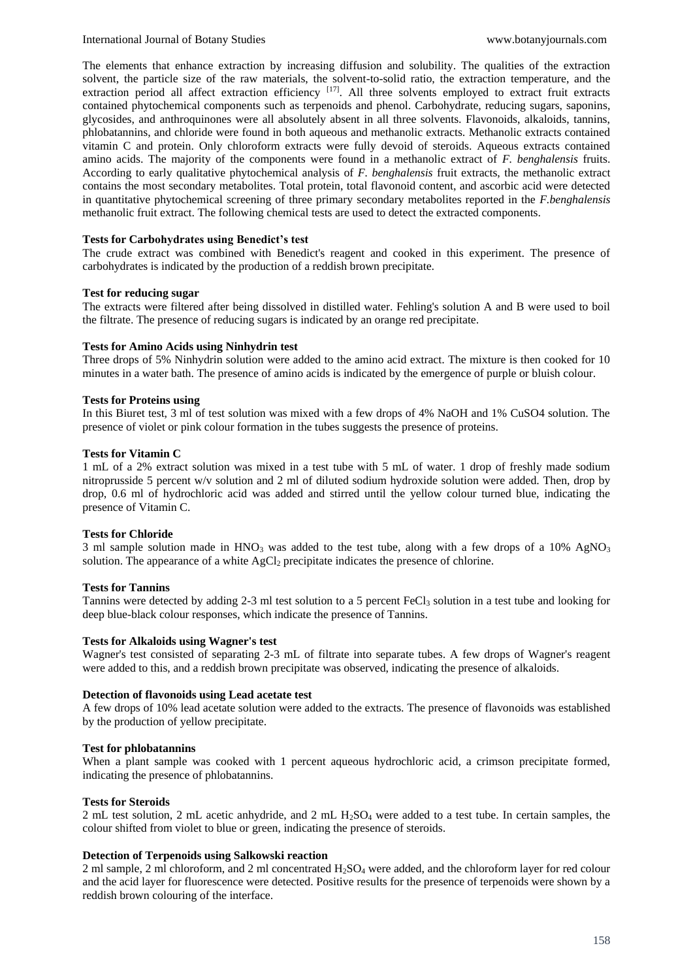The elements that enhance extraction by increasing diffusion and solubility. The qualities of the extraction solvent, the particle size of the raw materials, the solvent-to-solid ratio, the extraction temperature, and the extraction period all affect extraction efficiency [17]. All three solvents employed to extract fruit extracts contained phytochemical components such as terpenoids and phenol. Carbohydrate, reducing sugars, saponins, glycosides, and anthroquinones were all absolutely absent in all three solvents. Flavonoids, alkaloids, tannins, phlobatannins, and chloride were found in both aqueous and methanolic extracts. Methanolic extracts contained vitamin C and protein. Only chloroform extracts were fully devoid of steroids. Aqueous extracts contained amino acids. The majority of the components were found in a methanolic extract of *F. benghalensis* fruits. According to early qualitative phytochemical analysis of *F. benghalensis* fruit extracts, the methanolic extract contains the most secondary metabolites. Total protein, total flavonoid content, and ascorbic acid were detected in quantitative phytochemical screening of three primary secondary metabolites reported in the *F.benghalensis* methanolic fruit extract. The following chemical tests are used to detect the extracted components.

## **Tests for Carbohydrates using Benedict's test**

The crude extract was combined with Benedict's reagent and cooked in this experiment. The presence of carbohydrates is indicated by the production of a reddish brown precipitate.

## **Test for reducing sugar**

The extracts were filtered after being dissolved in distilled water. Fehling's solution A and B were used to boil the filtrate. The presence of reducing sugars is indicated by an orange red precipitate.

## **Tests for Amino Acids using Ninhydrin test**

Three drops of 5% Ninhydrin solution were added to the amino acid extract. The mixture is then cooked for 10 minutes in a water bath. The presence of amino acids is indicated by the emergence of purple or bluish colour.

## **Tests for Proteins using**

In this Biuret test, 3 ml of test solution was mixed with a few drops of 4% NaOH and 1% CuSO4 solution. The presence of violet or pink colour formation in the tubes suggests the presence of proteins.

## **Tests for Vitamin C**

1 mL of a 2% extract solution was mixed in a test tube with 5 mL of water. 1 drop of freshly made sodium nitroprusside 5 percent w/v solution and 2 ml of diluted sodium hydroxide solution were added. Then, drop by drop, 0.6 ml of hydrochloric acid was added and stirred until the yellow colour turned blue, indicating the presence of Vitamin C.

## **Tests for Chloride**

3 ml sample solution made in  $HNO<sub>3</sub>$  was added to the test tube, along with a few drops of a 10% AgNO<sub>3</sub> solution. The appearance of a white  $AgCl<sub>2</sub>$  precipitate indicates the presence of chlorine.

## **Tests for Tannins**

Tannins were detected by adding 2-3 ml test solution to a 5 percent FeCl<sub>3</sub> solution in a test tube and looking for deep blue-black colour responses, which indicate the presence of Tannins.

## **Tests for Alkaloids using Wagner's test**

Wagner's test consisted of separating 2-3 mL of filtrate into separate tubes. A few drops of Wagner's reagent were added to this, and a reddish brown precipitate was observed, indicating the presence of alkaloids.

## **Detection of flavonoids using Lead acetate test**

A few drops of 10% lead acetate solution were added to the extracts. The presence of flavonoids was established by the production of yellow precipitate.

## **Test for phlobatannins**

When a plant sample was cooked with 1 percent aqueous hydrochloric acid, a crimson precipitate formed, indicating the presence of phlobatannins.

## **Tests for Steroids**

2 mL test solution, 2 mL acetic anhydride, and 2 mL  $H_2SO_4$  were added to a test tube. In certain samples, the colour shifted from violet to blue or green, indicating the presence of steroids.

## **Detection of Terpenoids using Salkowski reaction**

2 ml sample, 2 ml chloroform, and 2 ml concentrated H2SO<sup>4</sup> were added, and the chloroform layer for red colour and the acid layer for fluorescence were detected. Positive results for the presence of terpenoids were shown by a reddish brown colouring of the interface.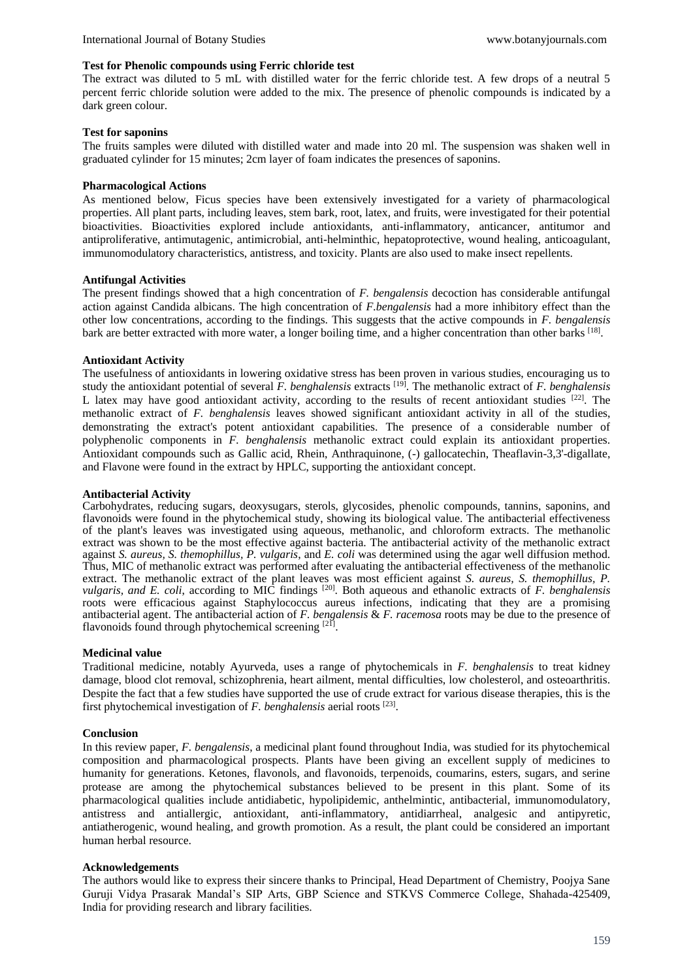## **Test for Phenolic compounds using Ferric chloride test**

The extract was diluted to 5 mL with distilled water for the ferric chloride test. A few drops of a neutral 5 percent ferric chloride solution were added to the mix. The presence of phenolic compounds is indicated by a dark green colour.

## **Test for saponins**

The fruits samples were diluted with distilled water and made into 20 ml. The suspension was shaken well in graduated cylinder for 15 minutes; 2cm layer of foam indicates the presences of saponins.

## **Pharmacological Actions**

As mentioned below, Ficus species have been extensively investigated for a variety of pharmacological properties. All plant parts, including leaves, stem bark, root, latex, and fruits, were investigated for their potential bioactivities. Bioactivities explored include antioxidants, anti-inflammatory, anticancer, antitumor and antiproliferative, antimutagenic, antimicrobial, anti-helminthic, hepatoprotective, wound healing, anticoagulant, immunomodulatory characteristics, antistress, and toxicity. Plants are also used to make insect repellents.

## **Antifungal Activities**

The present findings showed that a high concentration of *F. bengalensis* decoction has considerable antifungal action against Candida albicans. The high concentration of *F.bengalensis* had a more inhibitory effect than the other low concentrations, according to the findings. This suggests that the active compounds in *F. bengalensis* bark are better extracted with more water, a longer boiling time, and a higher concentration than other barks [18].

## **Antioxidant Activity**

The usefulness of antioxidants in lowering oxidative stress has been proven in various studies, encouraging us to study the antioxidant potential of several *F. benghalensis* extracts [19]. The methanolic extract of *F. benghalensis* L latex may have good antioxidant activity, according to the results of recent antioxidant studies [22]. The methanolic extract of *F. benghalensis* leaves showed significant antioxidant activity in all of the studies, demonstrating the extract's potent antioxidant capabilities. The presence of a considerable number of polyphenolic components in *F. benghalensis* methanolic extract could explain its antioxidant properties. Antioxidant compounds such as Gallic acid, Rhein, Anthraquinone, (-) gallocatechin, Theaflavin-3,3'-digallate, and Flavone were found in the extract by HPLC, supporting the antioxidant concept.

## **Antibacterial Activity**

Carbohydrates, reducing sugars, deoxysugars, sterols, glycosides, phenolic compounds, tannins, saponins, and flavonoids were found in the phytochemical study, showing its biological value. The antibacterial effectiveness of the plant's leaves was investigated using aqueous, methanolic, and chloroform extracts. The methanolic extract was shown to be the most effective against bacteria. The antibacterial activity of the methanolic extract against *S. aureus, S. themophillus, P. vulgaris*, and *E. coli* was determined using the agar well diffusion method. Thus, MIC of methanolic extract was performed after evaluating the antibacterial effectiveness of the methanolic extract. The methanolic extract of the plant leaves was most efficient against *S. aureus, S. themophillus, P. vulgaris, and E. coli, according to MIC findings* <sup>[20]</sup>. Both aqueous and ethanolic extracts of *F. benghalensis* roots were efficacious against Staphylococcus aureus infections, indicating that they are a promising antibacterial agent. The antibacterial action of *F. bengalensis* & *F. racemosa* roots may be due to the presence of flavonoids found through phytochemical screening [21].

## **Medicinal value**

Traditional medicine, notably Ayurveda, uses a range of phytochemicals in *F. benghalensis* to treat kidney damage, blood clot removal, schizophrenia, heart ailment, mental difficulties, low cholesterol, and osteoarthritis. Despite the fact that a few studies have supported the use of crude extract for various disease therapies, this is the first phytochemical investigation of *F. benghalensis* aerial roots [23] .

## **Conclusion**

In this review paper, *F. bengalensis*, a medicinal plant found throughout India, was studied for its phytochemical composition and pharmacological prospects. Plants have been giving an excellent supply of medicines to humanity for generations. Ketones, flavonols, and flavonoids, terpenoids, coumarins, esters, sugars, and serine protease are among the phytochemical substances believed to be present in this plant. Some of its pharmacological qualities include antidiabetic, hypolipidemic, anthelmintic, antibacterial, immunomodulatory, antistress and antiallergic, antioxidant, anti-inflammatory, antidiarrheal, analgesic and antipyretic, antiatherogenic, wound healing, and growth promotion. As a result, the plant could be considered an important human herbal resource.

## **Acknowledgements**

The authors would like to express their sincere thanks to Principal, Head Department of Chemistry, Poojya Sane Guruji Vidya Prasarak Mandal's SIP Arts, GBP Science and STKVS Commerce College, Shahada-425409, India for providing research and library facilities.